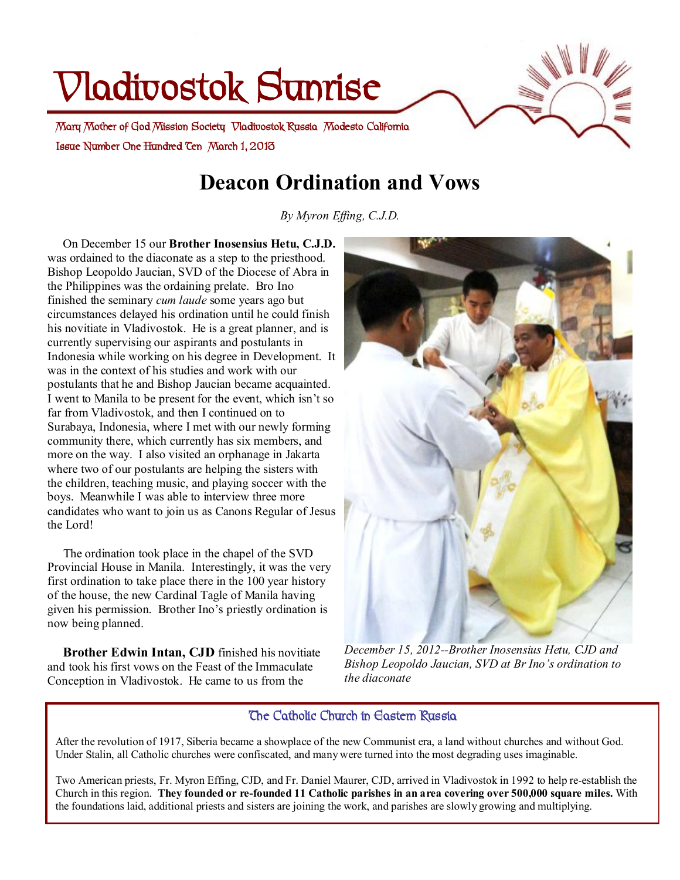# **Vladivostok Sunrise**

**Issue Number One Hundred Ten March 1, 2013 Mary Mother of God Mission Society Vladivostok Russia Modesto California** 

## **Deacon Ordination and Vows**

*By Myron Effing, C.J.D.*

 On December 15 our **Brother Inosensius Hetu, C.J.D.** was ordained to the diaconate as a step to the priesthood. Bishop Leopoldo Jaucian, SVD of the Diocese of Abra in the Philippines was the ordaining prelate. Bro Ino finished the seminary *cum laude* some years ago but circumstances delayed his ordination until he could finish his novitiate in Vladivostok. He is a great planner, and is currently supervising our aspirants and postulants in Indonesia while working on his degree in Development. It was in the context of his studies and work with our postulants that he and Bishop Jaucian became acquainted. I went to Manila to be present for the event, which isn't so far from Vladivostok, and then I continued on to Surabaya, Indonesia, where I met with our newly forming community there, which currently has six members, and more on the way. I also visited an orphanage in Jakarta where two of our postulants are helping the sisters with the children, teaching music, and playing soccer with the boys. Meanwhile I was able to interview three more candidates who want to join us as Canons Regular of Jesus the Lord!

 The ordination took place in the chapel of the SVD Provincial House in Manila. Interestingly, it was the very first ordination to take place there in the 100 year history of the house, the new Cardinal Tagle of Manila having given his permission. Brother Ino's priestly ordination is now being planned.

 **Brother Edwin Intan, CJD** finished his novitiate and took his first vows on the Feast of the Immaculate Conception in Vladivostok. He came to us from the



*December 15, 2012--Brother Inosensius Hetu, CJD and Bishop Leopoldo Jaucian, SVD at Br Ino's ordination to the diaconate* 

#### **The Catholic Church in Eastern Russia**

After the revolution of 1917, Siberia became a showplace of the new Communist era, a land without churches and without God. Under Stalin, all Catholic churches were confiscated, and many were turned into the most degrading uses imaginable.

Two American priests, Fr. Myron Effing, CJD, and Fr. Daniel Maurer, CJD, arrived in Vladivostok in 1992 to help re-establish the Church in this region. They founded or re-founded 11 Catholic parishes in an area covering over 500,000 square miles. With the foundations laid, additional priests and sisters are joining the work, and parishes are slowly growing and multiplying.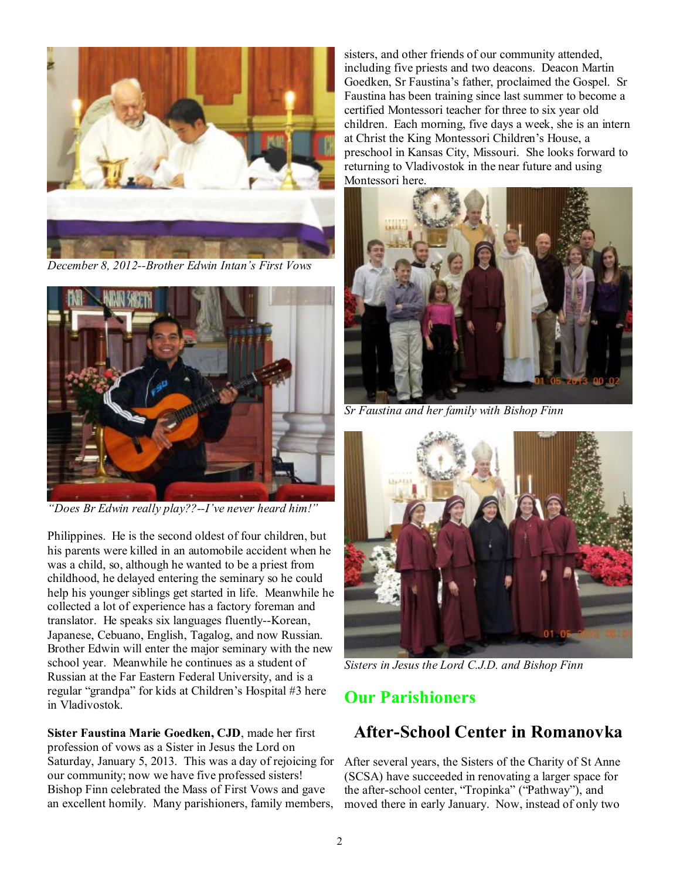

*December 8, 2012--Brother Edwin Intan's First Vows* 



*"Does Br Edwin really play??--I've never heard him!"* 

Philippines. He is the second oldest of four children, but his parents were killed in an automobile accident when he was a child, so, although he wanted to be a priest from childhood, he delayed entering the seminary so he could help his younger siblings get started in life. Meanwhile he collected a lot of experience has a factory foreman and translator. He speaks six languages fluently--Korean, Japanese, Cebuano, English, Tagalog, and now Russian. Brother Edwin will enter the major seminary with the new school year. Meanwhile he continues as a student of Russian at the Far Eastern Federal University, and is a regular "grandpa" for kids at Children's Hospital #3 here in Vladivostok.

**Sister Faustina Marie Goedken, CJD**, made her first profession of vows as a Sister in Jesus the Lord on Saturday, January 5, 2013. This was a day of rejoicing for our community; now we have five professed sisters! Bishop Finn celebrated the Mass of First Vows and gave an excellent homily. Many parishioners, family members, sisters, and other friends of our community attended, including five priests and two deacons. Deacon Martin Goedken, Sr Faustina's father, proclaimed the Gospel. Sr Faustina has been training since last summer to become a certified Montessori teacher for three to six year old children. Each morning, five days a week, she is an intern at Christ the King Montessori Children's House, a preschool in Kansas City, Missouri. She looks forward to returning to Vladivostok in the near future and using Montessori here.



*Sr Faustina and her family with Bishop Finn* 



*Sisters in Jesus the Lord C.J.D. and Bishop Finn* 

## **Our Parishioners**

## **After-School Center in Romanovka**

After several years, the Sisters of the Charity of St Anne (SCSA) have succeeded in renovating a larger space for the after-school center, "Tropinka" ("Pathway"), and moved there in early January. Now, instead of only two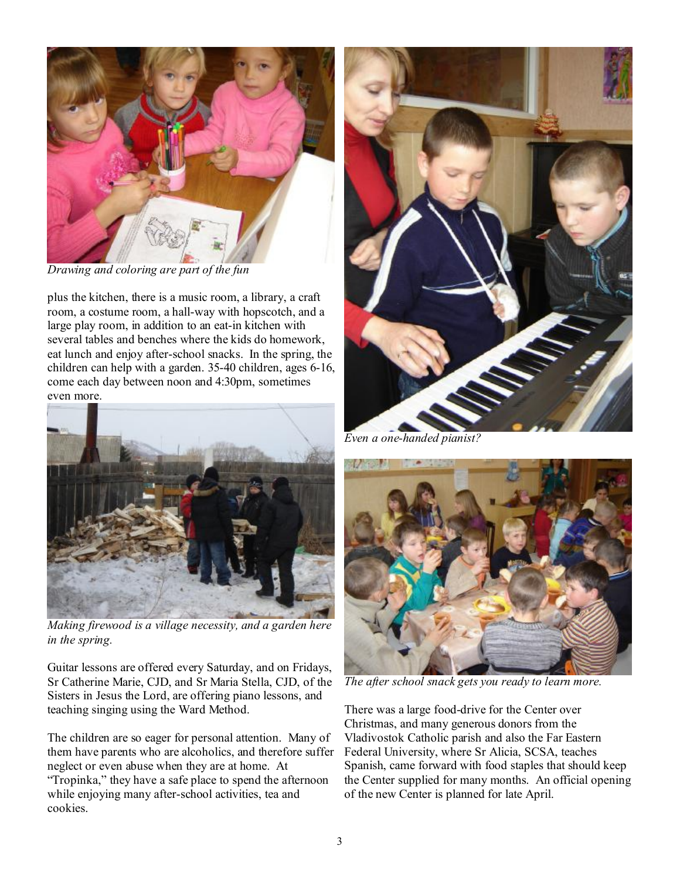

*Drawing and coloring are part of the fun* 

plus the kitchen, there is a music room, a library, a craft room, a costume room, a hall-way with hopscotch, and a large play room, in addition to an eat-in kitchen with several tables and benches where the kids do homework, eat lunch and enjoy after-school snacks. In the spring, the children can help with a garden. 35-40 children, ages 6-16, come each day between noon and 4:30pm, sometimes even more.



*Making firewood is a village necessity, and a garden here in the spring.* 

Guitar lessons are offered every Saturday, and on Fridays, Sr Catherine Marie, CJD, and Sr Maria Stella, CJD, of the Sisters in Jesus the Lord, are offering piano lessons, and teaching singing using the Ward Method.

The children are so eager for personal attention. Many of them have parents who are alcoholics, and therefore suffer neglect or even abuse when they are at home. At "Tropinka," they have a safe place to spend the afternoon while enjoying many after-school activities, tea and cookies.



*Even a one-handed pianist?* 



*The after school snack gets you ready to learn more.* 

There was a large food-drive for the Center over Christmas, and many generous donors from the Vladivostok Catholic parish and also the Far Eastern Federal University, where Sr Alicia, SCSA, teaches Spanish, came forward with food staples that should keep the Center supplied for many months. An official opening of the new Center is planned for late April.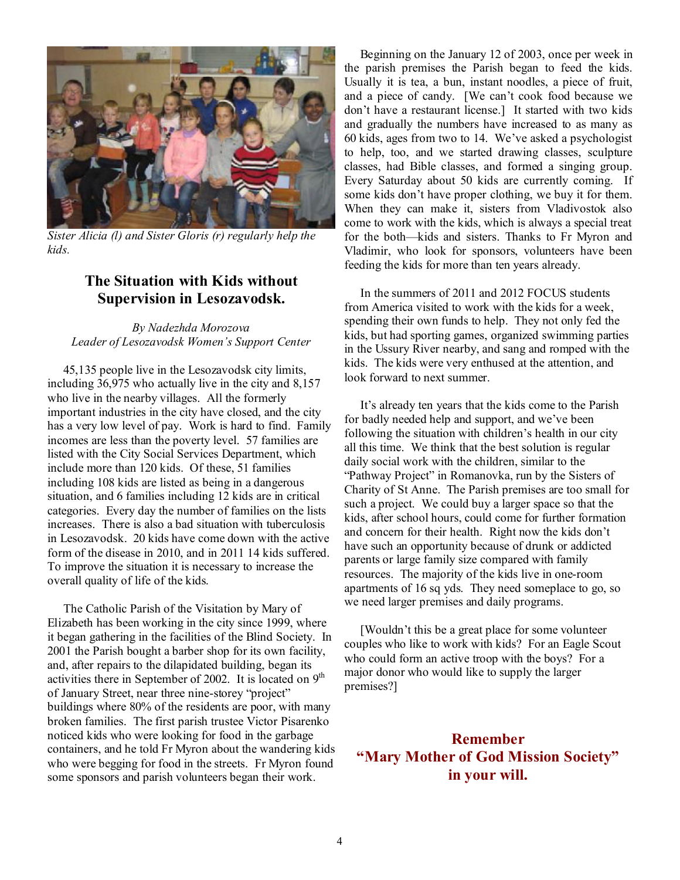

*Sister Alicia (l) and Sister Gloris (r) regularly help the kids.* 

#### **The Situation with Kids without Supervision in Lesozavodsk.**

#### *By Nadezhda Morozova Leader of Lesozavodsk Women's Support Center*

45,135 people live in the Lesozavodsk city limits, including 36,975 who actually live in the city and 8,157 who live in the nearby villages. All the formerly important industries in the city have closed, and the city has a very low level of pay. Work is hard to find. Family incomes are less than the poverty level. 57 families are listed with the City Social Services Department, which include more than 120 kids. Of these, 51 families including 108 kids are listed as being in a dangerous situation, and 6 families including 12 kids are in critical categories. Every day the number of families on the lists increases. There is also a bad situation with tuberculosis in Lesozavodsk. 20 kids have come down with the active form of the disease in 2010, and in 2011 14 kids suffered. To improve the situation it is necessary to increase the overall quality of life of the kids.

The Catholic Parish of the Visitation by Mary of Elizabeth has been working in the city since 1999, where it began gathering in the facilities of the Blind Society. In 2001 the Parish bought a barber shop for its own facility, and, after repairs to the dilapidated building, began its activities there in September of 2002. It is located on  $9<sup>th</sup>$ of January Street, near three nine-storey "project" buildings where 80% of the residents are poor, with many broken families. The first parish trustee Victor Pisarenko noticed kids who were looking for food in the garbage containers, and he told Fr Myron about the wandering kids who were begging for food in the streets. Fr Myron found some sponsors and parish volunteers began their work.

Beginning on the January 12 of 2003, once per week in the parish premises the Parish began to feed the kids. Usually it is tea, a bun, instant noodles, a piece of fruit, and a piece of candy. [We can't cook food because we don't have a restaurant license.] It started with two kids and gradually the numbers have increased to as many as 60 kids, ages from two to 14. We've asked a psychologist to help, too, and we started drawing classes, sculpture classes, had Bible classes, and formed a singing group. Every Saturday about 50 kids are currently coming. If some kids don't have proper clothing, we buy it for them. When they can make it, sisters from Vladivostok also come to work with the kids, which is always a special treat for the both—kids and sisters. Thanks to Fr Myron and Vladimir, who look for sponsors, volunteers have been feeding the kids for more than ten years already.

In the summers of 2011 and 2012 FOCUS students from America visited to work with the kids for a week, spending their own funds to help. They not only fed the kids, but had sporting games, organized swimming parties in the Ussury River nearby, and sang and romped with the kids. The kids were very enthused at the attention, and look forward to next summer.

It's already ten years that the kids come to the Parish for badly needed help and support, and we've been following the situation with children's health in our city all this time. We think that the best solution is regular daily social work with the children, similar to the "Pathway Project" in Romanovka, run by the Sisters of Charity of St Anne. The Parish premises are too small for such a project. We could buy a larger space so that the kids, after school hours, could come for further formation and concern for their health. Right now the kids don't have such an opportunity because of drunk or addicted parents or large family size compared with family resources. The majority of the kids live in one-room apartments of 16 sq yds. They need someplace to go, so we need larger premises and daily programs.

[Wouldn't this be a great place for some volunteer couples who like to work with kids? For an Eagle Scout who could form an active troop with the boys? For a major donor who would like to supply the larger premises?]

### **Remember "Mary Mother of God Mission Society" in your will.**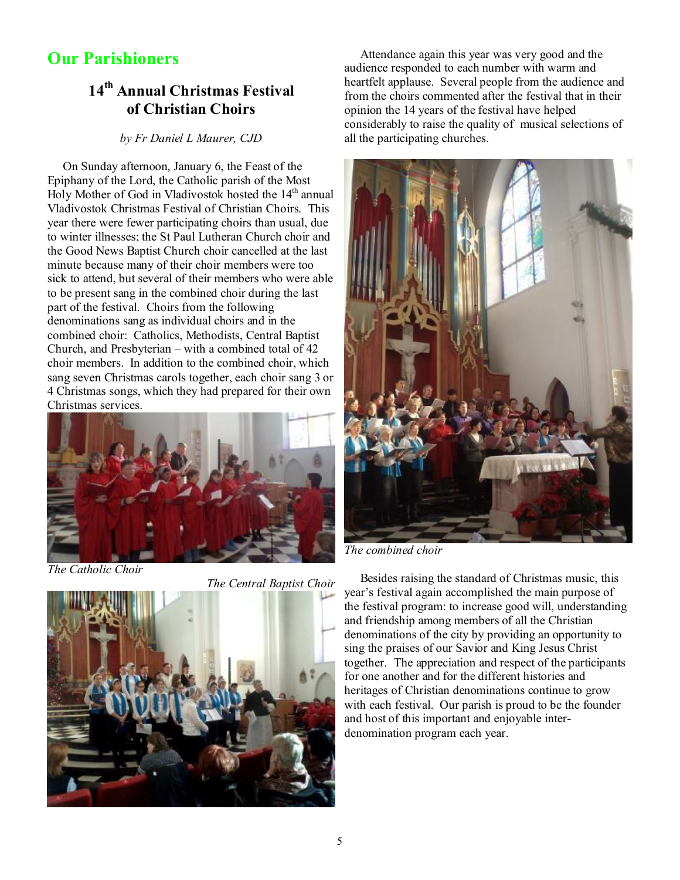## **Our Parishioners**

## **14th Annual Christmas Festival of Christian Choirs**

#### *by Fr Daniel L Maurer, CJD*

 On Sunday afternoon, January 6, the Feast of the Epiphany of the Lord, the Catholic parish of the Most Holy Mother of God in Vladivostok hosted the 14<sup>th</sup> annual Vladivostok Christmas Festival of Christian Choirs. This year there were fewer participating choirs than usual, due to winter illnesses; the St Paul Lutheran Church choir and the Good News Baptist Church choir cancelled at the last minute because many of their choir members were too sick to attend, but several of their members who were able to be present sang in the combined choir during the last part of the festival. Choirs from the following denominations sang as individual choirs and in the combined choir: Catholics, Methodists, Central Baptist Church, and Presbyterian – with a combined total of 42 choir members. In addition to the combined choir, which sang seven Christmas carols together, each choir sang 3 or 4 Christmas songs, which they had prepared for their own Christmas services.



*The Catholic Choir* 

*The Central Baptist Choir* 



 Attendance again this year was very good and the audience responded to each number with warm and heartfelt applause. Several people from the audience and from the choirs commented after the festival that in their opinion the 14 years of the festival have helped considerably to raise the quality of musical selections of all the participating churches.



*The combined choir* 

 Besides raising the standard of Christmas music, this year's festival again accomplished the main purpose of the festival program: to increase good will, understanding and friendship among members of all the Christian denominations of the city by providing an opportunity to sing the praises of our Savior and King Jesus Christ together. The appreciation and respect of the participants for one another and for the different histories and heritages of Christian denominations continue to grow with each festival. Our parish is proud to be the founder and host of this important and enjoyable interdenomination program each year.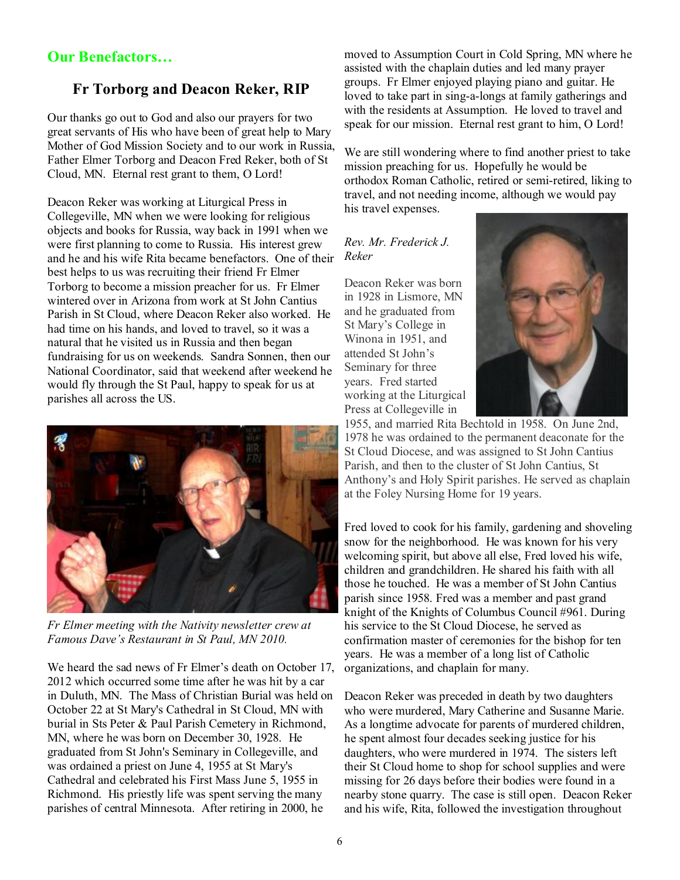#### **Our Benefactors…**

#### **Fr Torborg and Deacon Reker, RIP**

Our thanks go out to God and also our prayers for two great servants of His who have been of great help to Mary Mother of God Mission Society and to our work in Russia, Father Elmer Torborg and Deacon Fred Reker, both of St Cloud, MN. Eternal rest grant to them, O Lord!

Deacon Reker was working at Liturgical Press in Collegeville, MN when we were looking for religious objects and books for Russia, way back in 1991 when we were first planning to come to Russia. His interest grew and he and his wife Rita became benefactors. One of their best helps to us was recruiting their friend Fr Elmer Torborg to become a mission preacher for us. Fr Elmer wintered over in Arizona from work at St John Cantius Parish in St Cloud, where Deacon Reker also worked. He had time on his hands, and loved to travel, so it was a natural that he visited us in Russia and then began fundraising for us on weekends. Sandra Sonnen, then our National Coordinator, said that weekend after weekend he would fly through the St Paul, happy to speak for us at parishes all across the US.



*Fr Elmer meeting with the Nativity newsletter crew at Famous Dave's Restaurant in St Paul, MN 2010.*

We heard the sad news of Fr Elmer's death on October 17, 2012 which occurred some time after he was hit by a car in Duluth, MN. The Mass of Christian Burial was held on October 22 at St Mary's Cathedral in St Cloud, MN with burial in Sts Peter & Paul Parish Cemetery in Richmond, MN, where he was born on December 30, 1928. He graduated from St John's Seminary in Collegeville, and was ordained a priest on June 4, 1955 at St Mary's Cathedral and celebrated his First Mass June 5, 1955 in Richmond. His priestly life was spent serving the many parishes of central Minnesota. After retiring in 2000, he

moved to Assumption Court in Cold Spring, MN where he assisted with the chaplain duties and led many prayer groups. Fr Elmer enjoyed playing piano and guitar. He loved to take part in sing-a-longs at family gatherings and with the residents at Assumption. He loved to travel and speak for our mission. Eternal rest grant to him, O Lord!

We are still wondering where to find another priest to take mission preaching for us. Hopefully he would be orthodox Roman Catholic, retired or semi-retired, liking to travel, and not needing income, although we would pay his travel expenses.

#### *Rev. Mr. Frederick J. Reker*

Deacon Reker was born in 1928 in Lismore, MN and he graduated from St Mary's College in Winona in 1951, and attended St John's Seminary for three years. Fred started working at the Liturgical Press at Collegeville in



1955, and married Rita Bechtold in 1958. On June 2nd, 1978 he was ordained to the permanent deaconate for the St Cloud Diocese, and was assigned to St John Cantius Parish, and then to the cluster of St John Cantius, St Anthony's and Holy Spirit parishes. He served as chaplain at the Foley Nursing Home for 19 years.

Fred loved to cook for his family, gardening and shoveling snow for the neighborhood. He was known for his very welcoming spirit, but above all else, Fred loved his wife, children and grandchildren. He shared his faith with all those he touched. He was a member of St John Cantius parish since 1958. Fred was a member and past grand knight of the Knights of Columbus Council #961. During his service to the St Cloud Diocese, he served as confirmation master of ceremonies for the bishop for ten years. He was a member of a long list of Catholic organizations, and chaplain for many.

Deacon Reker was preceded in death by two daughters who were murdered, Mary Catherine and Susanne Marie. As a longtime advocate for parents of murdered children, he spent almost four decades seeking justice for his daughters, who were murdered in 1974. The sisters left their St Cloud home to shop for school supplies and were missing for 26 days before their bodies were found in a nearby stone quarry. The case is still open. Deacon Reker and his wife, Rita, followed the investigation throughout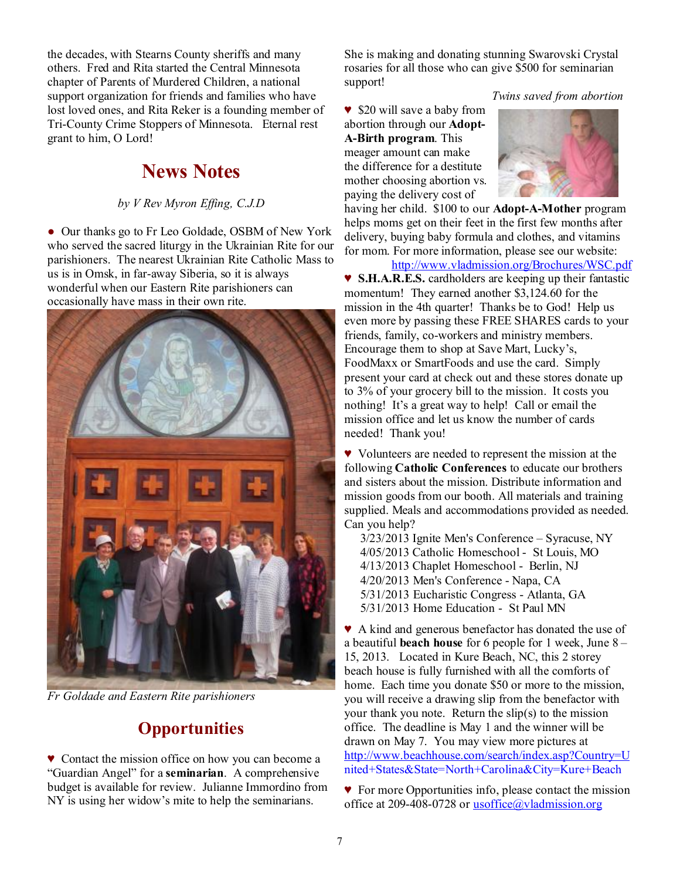the decades, with Stearns County sheriffs and many others. Fred and Rita started the Central Minnesota chapter of Parents of Murdered Children, a national support organization for friends and families who have lost loved ones, and Rita Reker is a founding member of Tri-County Crime Stoppers of Minnesota. Eternal rest grant to him, O Lord!

## **News Notes**

#### *by V Rev Myron Effing, C.J.D*

● Our thanks go to Fr Leo Goldade, OSBM of New York who served the sacred liturgy in the Ukrainian Rite for our parishioners. The nearest Ukrainian Rite Catholic Mass to us is in Omsk, in far-away Siberia, so it is always wonderful when our Eastern Rite parishioners can occasionally have mass in their own rite.



*Fr Goldade and Eastern Rite parishioners* 

## **Opportunities**

♥ Contact the mission office on how you can become a "Guardian Angel" for a **seminarian**. A comprehensive budget is available for review. Julianne Immordino from NY is using her widow's mite to help the seminarians.

She is making and donating stunning Swarovski Crystal rosaries for all those who can give \$500 for seminarian support!

 *Twins saved from abortion* 

♥ \$20 will save a baby from abortion through our **Adopt-A-Birth program**. This meager amount can make the difference for a destitute mother choosing abortion vs. paying the delivery cost of



having her child. \$100 to our **Adopt-A-Mother** program helps moms get on their feet in the first few months after delivery, buying baby formula and clothes, and vitamins for mom. For more information, please see our website:

<http://www.vladmission.org/Brochures/WSC.pdf> ♥ **S.H.A.R.E.S.** cardholders are keeping up their fantastic momentum! They earned another \$3,124.60 for the mission in the 4th quarter! Thanks be to God! Help us even more by passing these FREE SHARES cards to your friends, family, co-workers and ministry members. Encourage them to shop at Save Mart, Lucky's, FoodMaxx or SmartFoods and use the card. Simply present your card at check out and these stores donate up to 3% of your grocery bill to the mission. It costs you nothing! It's a great way to help! Call or email the mission office and let us know the number of cards needed! Thank you!

♥ Volunteers are needed to represent the mission at the following **Catholic Conferences** to educate our brothers and sisters about the mission. Distribute information and mission goods from our booth. All materials and training supplied. Meals and accommodations provided as needed. Can you help?

3/23/2013 Ignite Men's Conference – Syracuse, NY 4/05/2013 Catholic Homeschool - St Louis, MO 4/13/2013 Chaplet Homeschool - Berlin, NJ 4/20/2013 Men's Conference - Napa, CA 5/31/2013 Eucharistic Congress - Atlanta, GA 5/31/2013 Home Education - St Paul MN

♥ A kind and generous benefactor has donated the use of a beautiful **beach house** for 6 people for 1 week, June 8 – 15, 2013. Located in Kure Beach, NC, this 2 storey beach house is fully furnished with all the comforts of home. Each time you donate \$50 or more to the mission, you will receive a drawing slip from the benefactor with your thank you note. Return the slip(s) to the mission office. The deadline is May 1 and the winner will be drawn on May 7. You may view more pictures at <http://www.beachhouse.com/search/index.asp?Country=U> nited+States&State=North+Carolina&City=Kure+Beach

♥ For more Opportunities info, please contact the mission office at 209-408-0728 or [usoffice@vladmission.org](mailto:usoffice@vladmission.org)